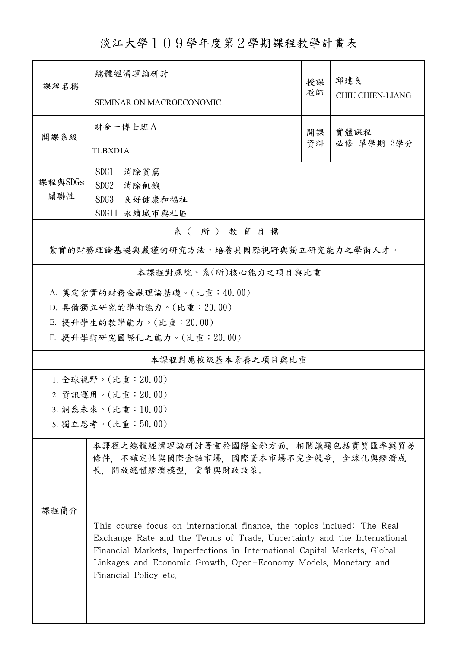淡江大學109學年度第2學期課程教學計畫表

| 課程名稱                                                                                                                                                                                                                                                                                                                         | 總體經濟理論研討<br>授課                                                                                        |    | 邱建良                     |  |  |  |
|------------------------------------------------------------------------------------------------------------------------------------------------------------------------------------------------------------------------------------------------------------------------------------------------------------------------------|-------------------------------------------------------------------------------------------------------|----|-------------------------|--|--|--|
|                                                                                                                                                                                                                                                                                                                              | SEMINAR ON MACROECONOMIC                                                                              | 教師 | <b>CHIU CHIEN-LIANG</b> |  |  |  |
| 開課系級                                                                                                                                                                                                                                                                                                                         | 財金一博士班A<br>實體課程<br>開課                                                                                 |    |                         |  |  |  |
|                                                                                                                                                                                                                                                                                                                              | TLBXD1A                                                                                               | 資料 | 必修 單學期 3學分              |  |  |  |
|                                                                                                                                                                                                                                                                                                                              | SDG1<br>消除貧窮                                                                                          |    |                         |  |  |  |
| 課程與SDGs                                                                                                                                                                                                                                                                                                                      | SDG2<br>消除飢餓                                                                                          |    |                         |  |  |  |
| 關聯性                                                                                                                                                                                                                                                                                                                          | SDG3<br>良好健康和福祉                                                                                       |    |                         |  |  |  |
|                                                                                                                                                                                                                                                                                                                              | SDG11 永續城市與社區                                                                                         |    |                         |  |  |  |
| 系(所)教育目標                                                                                                                                                                                                                                                                                                                     |                                                                                                       |    |                         |  |  |  |
| 紮實的財務理論基礎與嚴謹的研究方法,培養具國際視野與獨立研究能力之學術人才。                                                                                                                                                                                                                                                                                       |                                                                                                       |    |                         |  |  |  |
| 本課程對應院、系(所)核心能力之項目與比重                                                                                                                                                                                                                                                                                                        |                                                                                                       |    |                         |  |  |  |
| A. 奠定紮實的財務金融理論基礎。(比重:40.00)                                                                                                                                                                                                                                                                                                  |                                                                                                       |    |                         |  |  |  |
|                                                                                                                                                                                                                                                                                                                              | D. 具備獨立研究的學術能力。(比重: 20.00)                                                                            |    |                         |  |  |  |
|                                                                                                                                                                                                                                                                                                                              | E. 提升學生的教學能力。(比重: 20.00)                                                                              |    |                         |  |  |  |
|                                                                                                                                                                                                                                                                                                                              | F. 提升學術研究國際化之能力。(比重: 20.00)                                                                           |    |                         |  |  |  |
| 本課程對應校級基本素養之項目與比重                                                                                                                                                                                                                                                                                                            |                                                                                                       |    |                         |  |  |  |
| 1. 全球視野。(比重: 20.00)                                                                                                                                                                                                                                                                                                          |                                                                                                       |    |                         |  |  |  |
| 2. 資訊運用。(比重:20.00)                                                                                                                                                                                                                                                                                                           |                                                                                                       |    |                         |  |  |  |
|                                                                                                                                                                                                                                                                                                                              | 3. 洞悉未來。(比重:10.00)                                                                                    |    |                         |  |  |  |
|                                                                                                                                                                                                                                                                                                                              | 5. 獨立思考。(比重:50.00)                                                                                    |    |                         |  |  |  |
|                                                                                                                                                                                                                                                                                                                              | 本課程之總體經濟理論研討著重於國際金融方面,相關議題包括實質匯率與貿易<br>條件, 不確定性與國際金融市場, 國際資本市場不完全競爭, 全球化與經濟成<br>長, 開放總體經濟模型, 貨幣與財政政策。 |    |                         |  |  |  |
| 课程简介                                                                                                                                                                                                                                                                                                                         |                                                                                                       |    |                         |  |  |  |
| This course focus on international finance, the topics inclued: The Real<br>Exchange Rate and the Terms of Trade, Uncertainty and the International<br>Financial Markets, Imperfections in International Capital Markets, Global<br>Linkages and Economic Growth, Open-Economy Models, Monetary and<br>Financial Policy etc. |                                                                                                       |    |                         |  |  |  |
|                                                                                                                                                                                                                                                                                                                              |                                                                                                       |    |                         |  |  |  |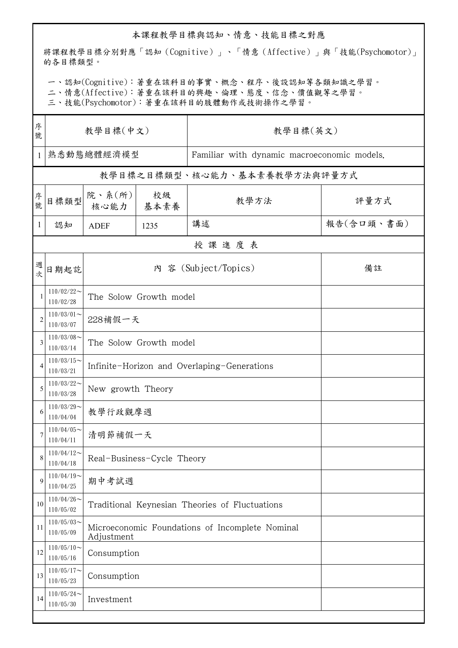## 本課程教學目標與認知、情意、技能目標之對應

將課程教學目標分別對應「認知(Cognitive)」、「情意(Affective)」與「技能(Psychomotor)」 的各目標類型。

一、認知(Cognitive):著重在該科目的事實、概念、程序、後設認知等各類知識之學習。

二、情意(Affective):著重在該科目的興趣、倫理、態度、信念、價值觀等之學習。

三、技能(Psychomotor):著重在該科目的肢體動作或技術操作之學習。

| 序<br>號         | 教學目標(中文)                   |                                                               |            | 教學目標(英文)                                    |            |  |  |  |  |
|----------------|----------------------------|---------------------------------------------------------------|------------|---------------------------------------------|------------|--|--|--|--|
| 1              | 熟悉動態總體經濟模型                 |                                                               |            | Familiar with dynamic macroeconomic models. |            |  |  |  |  |
|                |                            |                                                               |            | 教學目標之目標類型、核心能力、基本素養教學方法與評量方式                |            |  |  |  |  |
| 序號             | 目標類型                       | 院、系(所)<br>核心能力                                                | 校級<br>基本素養 | 教學方法                                        | 評量方式       |  |  |  |  |
| 1              | 認知                         | <b>ADEF</b>                                                   | 1235       | 講述                                          | 報告(含口頭、書面) |  |  |  |  |
|                | 授課進度表                      |                                                               |            |                                             |            |  |  |  |  |
| 週次             | 日期起訖                       | 內 容 (Subject/Topics)                                          |            |                                             | 備註         |  |  |  |  |
| -1             | $110/02/22$ ~<br>110/02/28 | The Solow Growth model                                        |            |                                             |            |  |  |  |  |
| $\overline{2}$ | $110/03/01$ ~<br>110/03/07 | 228補假一天                                                       |            |                                             |            |  |  |  |  |
| 3              | $110/03/08$ ~<br>110/03/14 | The Solow Growth model                                        |            |                                             |            |  |  |  |  |
| $\overline{4}$ | $110/03/15$ ~<br>110/03/21 | Infinite-Horizon and Overlaping-Generations                   |            |                                             |            |  |  |  |  |
| 5              | $110/03/22$ ~<br>110/03/28 | New growth Theory                                             |            |                                             |            |  |  |  |  |
| 6              | $110/03/29$ ~<br>110/04/04 | 教學行政觀摩週                                                       |            |                                             |            |  |  |  |  |
|                | $110/04/05$ ~<br>110/04/11 | 清明節補假一天                                                       |            |                                             |            |  |  |  |  |
| 8              | $110/04/12$ ~<br>110/04/18 | Real-Business-Cycle Theory                                    |            |                                             |            |  |  |  |  |
| 9              | $110/04/19$ ~<br>110/04/25 | 期中考試週                                                         |            |                                             |            |  |  |  |  |
| 10             | $110/04/26$ ~<br>110/05/02 | Traditional Keynesian Theories of Fluctuations                |            |                                             |            |  |  |  |  |
| 11             | $110/05/03$ ~<br>110/05/09 | Microeconomic Foundations of Incomplete Nominal<br>Adjustment |            |                                             |            |  |  |  |  |
| 12             | $110/05/10$ ~<br>110/05/16 | Consumption                                                   |            |                                             |            |  |  |  |  |
| 13             | $110/05/17$ ~<br>110/05/23 | Consumption                                                   |            |                                             |            |  |  |  |  |
| 14             | $110/05/24$ ~<br>110/05/30 | Investment                                                    |            |                                             |            |  |  |  |  |
|                |                            |                                                               |            |                                             |            |  |  |  |  |